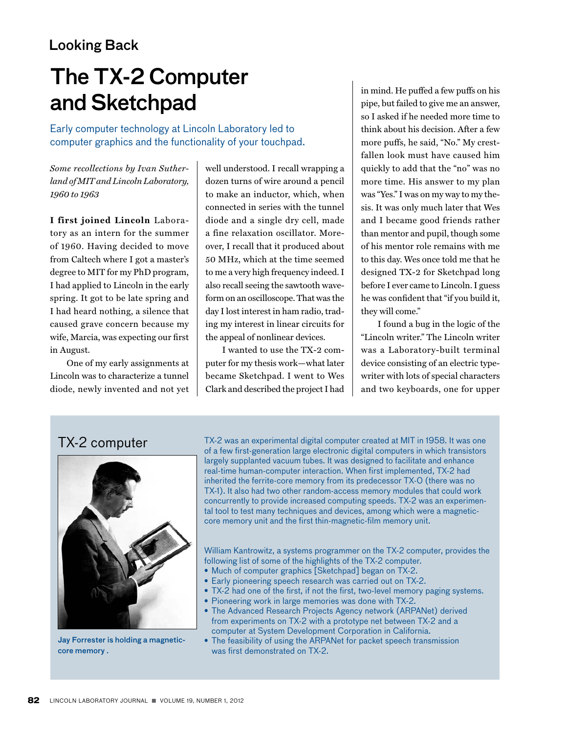## Looking Back

# The TX-2 Computer and Sketchpad

Early computer technology at Lincoln Laboratory led to computer graphics and the functionality of your touchpad.

*Some recollections by Ivan Sutherland of MIT and Lincoln Laboratory, 1960 to 1963*

**I first joined Lincoln** Laboratory as an intern for the summer of 1960. Having decided to move from Caltech where I got a master's degree to MIT for my PhD program, I had applied to Lincoln in the early spring. It got to be late spring and I had heard nothing, a silence that caused grave concern because my wife, Marcia, was expecting our first in August.

One of my early assignments at Lincoln was to characterize a tunnel diode, newly invented and not yet

well understood. I recall wrapping a dozen turns of wire around a pencil to make an inductor, which, when connected in series with the tunnel diode and a single dry cell, made a fine relaxation oscillator. Moreover, I recall that it produced about 50 MHz, which at the time seemed to me a very high frequency indeed. I also recall seeing the sawtooth waveform on an oscilloscope. That was the day I lost interest in ham radio, trading my interest in linear circuits for the appeal of nonlinear devices.

I wanted to use the TX-2 computer for my thesis work—what later became Sketchpad. I went to Wes Clark and described the project I had in mind. He puffed a few puffs on his pipe, but failed to give me an answer, so I asked if he needed more time to think about his decision. After a few more puffs, he said, "No." My crestfallen look must have caused him quickly to add that the "no" was no more time. His answer to my plan was "Yes." I was on my way to my thesis. It was only much later that Wes and I became good friends rather than mentor and pupil, though some of his mentor role remains with me to this day. Wes once told me that he designed TX-2 for Sketchpad long before I ever came to Lincoln. I guess he was confident that "if you build it, they will come."

I found a bug in the logic of the "Lincoln writer." The Lincoln writer was a Laboratory-built terminal device consisting of an electric typewriter with lots of special characters and two keyboards, one for upper

#### TX-2 computer



Jay Forrester is holding a magneticcore memory .

TX-2 was an experimental digital computer created at MIT in 1958. It was one of a few first-generation large electronic digital computers in which transistors largely supplanted vacuum tubes. It was designed to facilitate and enhance real-time human-computer interaction. When first implemented, TX-2 had inherited the ferrite-core memory from its predecessor TX-0 (there was no TX-1). It also had two other random-access memory modules that could work concurrently to provide increased computing speeds. TX-2 was an experimental tool to test many techniques and devices, among which were a magneticcore memory unit and the first thin-magnetic-film memory unit.

William Kantrowitz, a systems programmer on the TX-2 computer, provides the following list of some of the highlights of the TX-2 computer.

- Much of computer graphics [Sketchpad] began on TX-2.
- Early pioneering speech research was carried out on TX-2.
- TX-2 had one of the first, if not the first, two-level memory paging systems.
- Pioneering work in large memories was done with TX-2.
- The Advanced Research Projects Agency network (ARPANet) derived from experiments on TX-2 with a prototype net between TX-2 and a computer at System Development Corporation in California.
- The feasibility of using the ARPANet for packet speech transmission was first demonstrated on TX-2.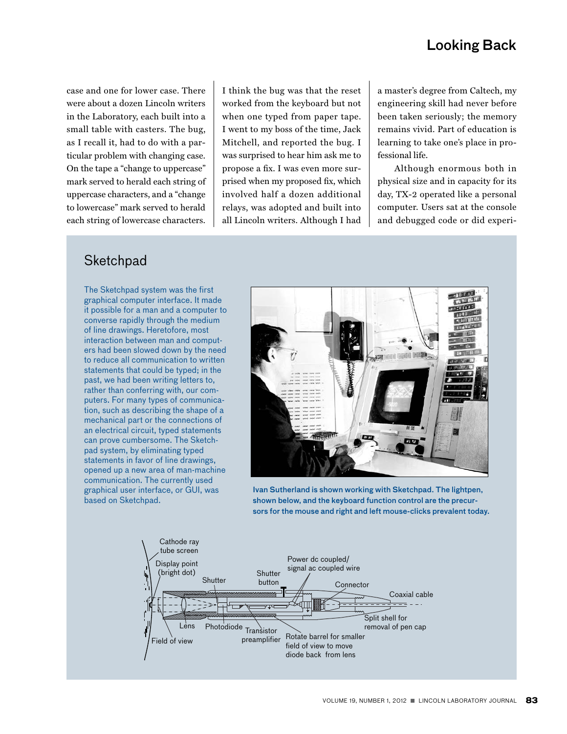## Looking Back

case and one for lower case. There were about a dozen Lincoln writers in the Laboratory, each built into a small table with casters. The bug, as I recall it, had to do with a particular problem with changing case. On the tape a "change to uppercase" mark served to herald each string of uppercase characters, and a "change to lowercase" mark served to herald each string of lowercase characters.

I think the bug was that the reset worked from the keyboard but not when one typed from paper tape. I went to my boss of the time, Jack Mitchell, and reported the bug. I was surprised to hear him ask me to propose a fix. I was even more surprised when my proposed fix, which involved half a dozen additional relays, was adopted and built into all Lincoln writers. Although I had

a master's degree from Caltech, my engineering skill had never before been taken seriously; the memory remains vivid. Part of education is learning to take one's place in professional life.

Although enormous both in physical size and in capacity for its day, TX-2 operated like a personal computer. Users sat at the console and debugged code or did experi-

#### **Sketchpad**

The Sketchpad system was the first graphical computer interface. It made it possible for a man and a computer to converse rapidly through the medium of line drawings. Heretofore, most interaction between man and computers had been slowed down by the need to reduce all communication to written statements that could be typed; in the past, we had been writing letters to, rather than conferring with, our computers. For many types of communication, such as describing the shape of a mechanical part or the connections of an electrical circuit, typed statements can prove cumbersome. The Sketchpad system, by eliminating typed statements in favor of line drawings, opened up a new area of man-machine communication. The currently used graphical user interface, or GUI, was based on Sketchpad.



Ivan Sutherland is shown working with Sketchpad. The lightpen, shown below, and the keyboard function control are the precursors for the mouse and right and left mouse-clicks prevalent today.